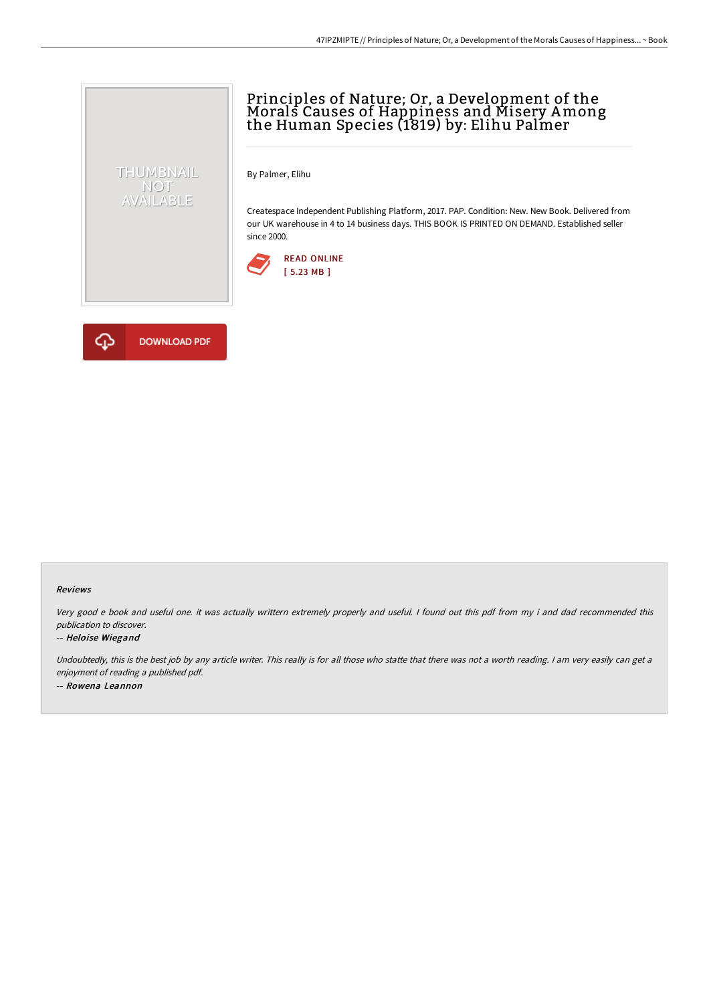# Principles of Nature; Or, a Development of the Morals Causes of Happiness and Misery Among the Human Species (1819) by: Elihu Palmer

By Palmer, Elihu

Createspace Independent Publishing Platform, 2017. PAP. Condition: New. New Book. Delivered from our UK warehouse in 4 to 14 business days. THIS BOOK IS PRINTED ON DEMAND. Established seller since 2000.





THUMBNAIL NOT<br>AVAILABLE

#### Reviews

Very good <sup>e</sup> book and useful one. it was actually writtern extremely properly and useful. <sup>I</sup> found out this pdf from my i and dad recommended this publication to discover.

#### -- Heloise Wiegand

Undoubtedly, this is the best job by any article writer. This really is for all those who statte that there was not a worth reading. I am very easily can get a enjoyment of reading <sup>a</sup> published pdf. -- Rowena Leannon